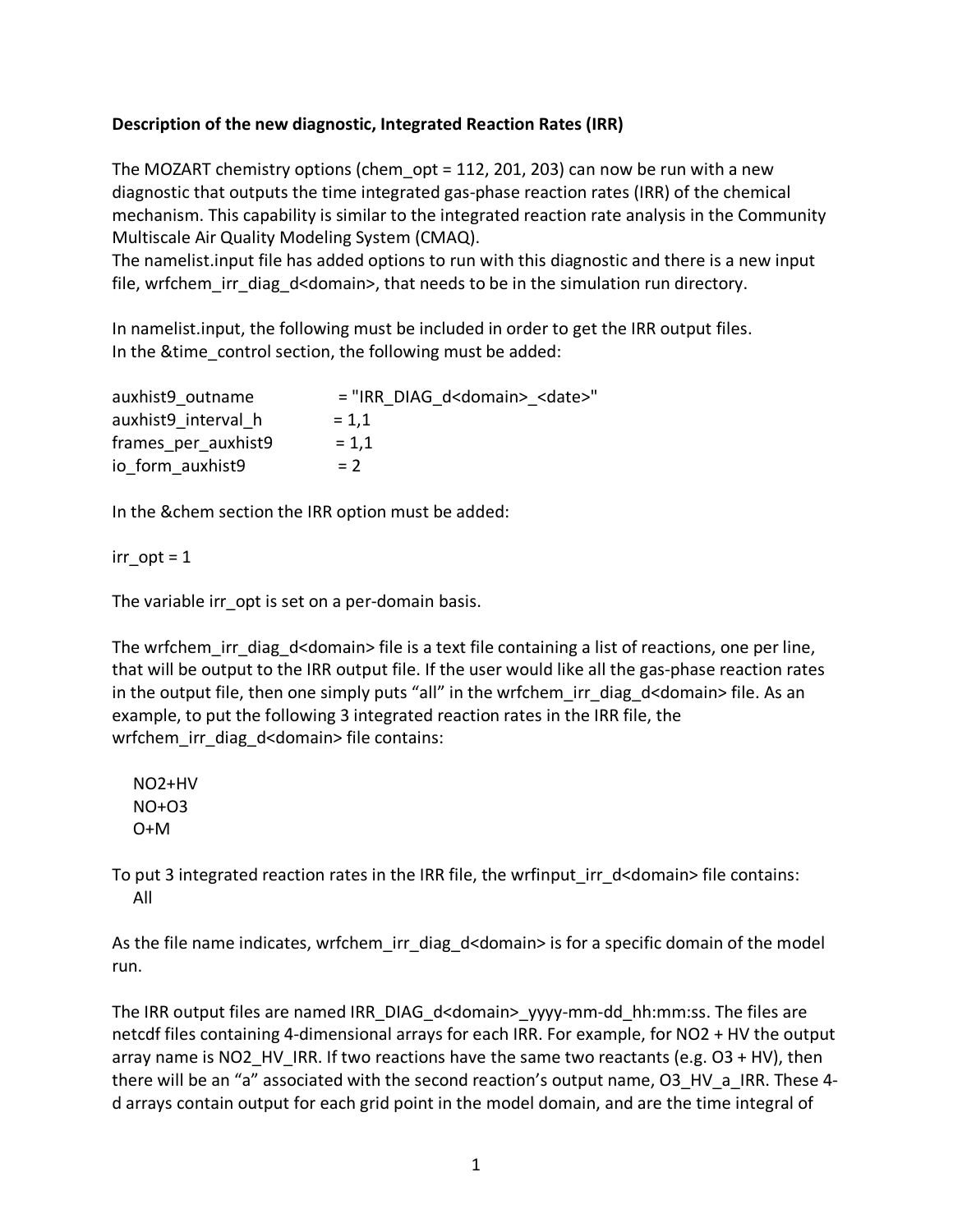## **Description of the new diagnostic, Integrated Reaction Rates (IRR)**

The MOZART chemistry options (chem\_opt = 112, 201, 203) can now be run with a new diagnostic that outputs the time integrated gas-phase reaction rates (IRR) of the chemical mechanism. This capability is similar to the integrated reaction rate analysis in the Community Multiscale Air Quality Modeling System (CMAQ).

The namelist.input file has added options to run with this diagnostic and there is a new input file, wrfchem irr diag d<domain>, that needs to be in the simulation run directory.

In namelist.input, the following must be included in order to get the IRR output files. In the &time control section, the following must be added:

| auxhist9 outname    | = "IRR DIAG d <domain> <date>"</date></domain> |
|---------------------|------------------------------------------------|
| auxhist9 interval h | $= 1.1$                                        |
| frames per auxhist9 | $= 1.1$                                        |
| io form auxhist9    | $= 2$                                          |

In the &chem section the IRR option must be added:

irr  $opt = 1$ 

The variable irr opt is set on a per-domain basis.

The wrfchem irr diag  $d$ <domain> file is a text file containing a list of reactions, one per line, that will be output to the IRR output file. If the user would like all the gas-phase reaction rates in the output file, then one simply puts "all" in the wrfchem irr diag d<domain> file. As an example, to put the following 3 integrated reaction rates in the IRR file, the wrfchem\_irr\_diag\_d<domain> file contains:

NO2+HV  $N$ O+O3  $O+M$ 

To put 3 integrated reaction rates in the IRR file, the wrfinput irr d<domain> file contains: All

As the file name indicates, wrfchem irr\_diag\_d<domain> is for a specific domain of the model run.

The IRR output files are named IRR\_DIAG\_d<domain>\_yyyy-mm-dd\_hh:mm:ss. The files are netcdf files containing 4-dimensional arrays for each IRR. For example, for NO2 + HV the output array name is NO2 HV IRR. If two reactions have the same two reactants (e.g.  $O3 + HV$ ), then there will be an "a" associated with the second reaction's output name, O3\_HV\_a\_IRR. These 4d arrays contain output for each grid point in the model domain, and are the time integral of